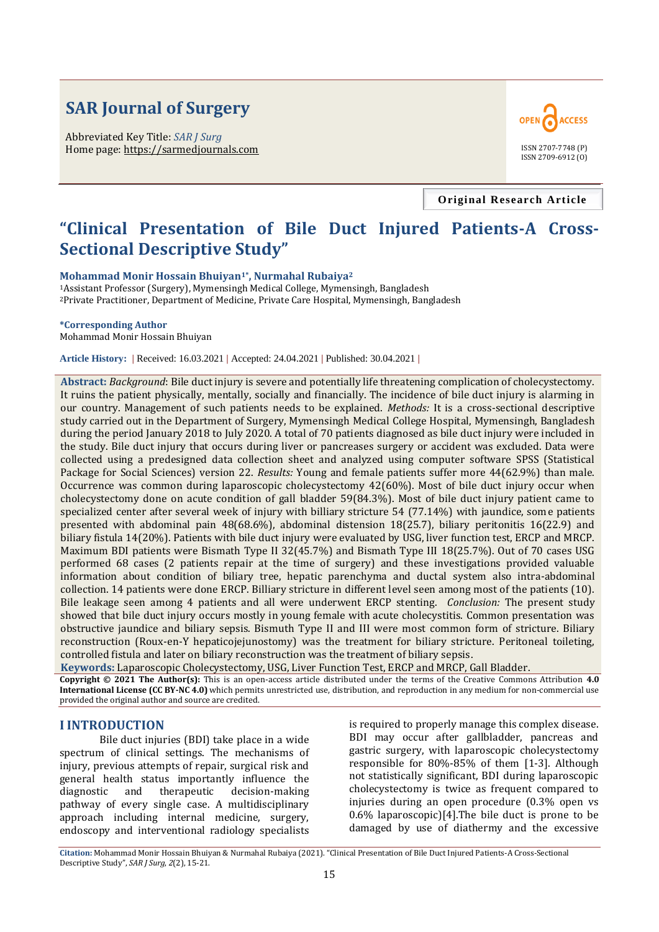# **SAR Journal of Surgery**

Abbreviated Key Title: *SAR J Surg* Home page: https://sarmedjournals.com



**Original Research Article**

## **"Clinical Presentation of Bile Duct Injured Patients-A Cross-Sectional Descriptive Study"**

**Mohammad Monir Hossain Bhuiyan1\*, Nurmahal Rubaiya<sup>2</sup>**

<sup>1</sup>Assistant Professor (Surgery), Mymensingh Medical College, Mymensingh, Bangladesh <sup>2</sup>Private Practitioner, Department of Medicine, Private Care Hospital, Mymensingh, Bangladesh

#### **\*Corresponding Author**

Mohammad Monir Hossain Bhuiyan

**Article History: |** Received: 16.03.2021 **|** Accepted: 24.04.2021 **|** Published: 30.04.2021 **|**

**Abstract:** *Background*: Bile duct injury is severe and potentially life threatening complication of cholecystectomy. It ruins the patient physically, mentally, socially and financially. The incidence of bile duct injury is alarming in our country. Management of such patients needs to be explained. *Methods:* It is a cross-sectional descriptive study carried out in the Department of Surgery, Mymensingh Medical College Hospital, Mymensingh, Bangladesh during the period January 2018 to July 2020. A total of 70 patients diagnosed as bile duct injury were included in the study. Bile duct injury that occurs during liver or pancreases surgery or accident was excluded. Data were collected using a predesigned data collection sheet and analyzed using computer software SPSS (Statistical Package for Social Sciences) version 22. *Results:* Young and female patients suffer more 44(62.9%) than male. Occurrence was common during laparoscopic cholecystectomy 42(60%). Most of bile duct injury occur when cholecystectomy done on acute condition of gall bladder 59(84.3%). Most of bile duct injury patient came to specialized center after several week of injury with billiary stricture 54 (77.14%) with jaundice, some patients presented with abdominal pain 48(68.6%), abdominal distension 18(25.7), biliary peritonitis 16(22.9) and biliary fistula 14(20%). Patients with bile duct injury were evaluated by USG, liver function test, ERCP and MRCP. Maximum BDI patients were Bismath Type II 32(45.7%) and Bismath Type III 18(25.7%). Out of 70 cases USG performed 68 cases (2 patients repair at the time of surgery) and these investigations provided valuable information about condition of biliary tree, hepatic parenchyma and ductal system also intra-abdominal collection. 14 patients were done ERCP. Billiary stricture in different level seen among most of the patients (10). Bile leakage seen among 4 patients and all were underwent ERCP stenting. *Conclusion:* The present study showed that bile duct injury occurs mostly in young female with acute cholecystitis. Common presentation was obstructive jaundice and biliary sepsis. Bismuth Type II and III were most common form of stricture. Biliary reconstruction (Roux-en-Y hepaticojejunostomy) was the treatment for biliary stricture. Peritoneal toileting, controlled fistula and later on biliary reconstruction was the treatment of biliary sepsis.

**Keywords:** Laparoscopic Cholecystectomy, USG, Liver Function Test, ERCP and MRCP, Gall Bladder. **Copyright © 2021 The Author(s):** This is an open-access article distributed under the terms of the Creative Commons Attribution **4.0 International License (CC BY-NC 4.0)** which permits unrestricted use, distribution, and reproduction in any medium for non-commercial use provided the original author and source are credited.

#### **I INTRODUCTION**

Bile duct injuries (BDI) take place in a wide spectrum of clinical settings. The mechanisms of injury, previous attempts of repair, surgical risk and general health status importantly influence the diagnostic and therapeutic decision-making pathway of every single case. A multidisciplinary approach including internal medicine, surgery, endoscopy and interventional radiology specialists

is required to properly manage this complex disease. BDI may occur after gallbladder, pancreas and gastric surgery, with laparoscopic cholecystectomy responsible for 80%-85% of them [\[1-](http://www.ncbi.nlm.nih.gov/pmc/articles/PMC3083499/#B1)[3\].](http://www.ncbi.nlm.nih.gov/pmc/articles/PMC3083499/#B3) Although not statistically significant, BDI during laparoscopic cholecystectomy is twice as frequent compared to injuries during an open procedure (0.3% open vs 0.6% laparoscopic)[\[4\].T](http://www.ncbi.nlm.nih.gov/pmc/articles/PMC3083499/#B4)he bile duct is prone to be damaged by use of diathermy and the excessive

**Citation:** Mohammad Monir Hossain Bhuiyan & Nurmahal Rubaiya (2021). "Clinical Presentation of Bile Duct Injured Patients-A Cross-Sectional Descriptive Study", *SAR J Surg*, *2*(2), 15-21.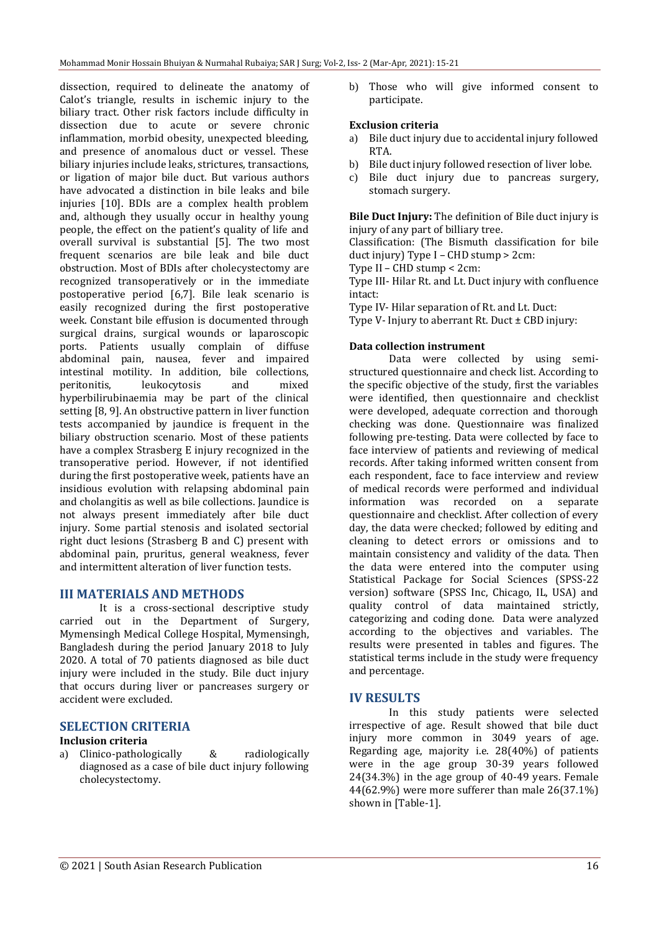dissection, required to delineate the anatomy of Calot's triangle, results in ischemic injury to the biliary tract. Other risk factors include difficulty in dissection due to acute or severe chronic inflammation, morbid obesity, unexpected bleeding, and presence of anomalous duct or vessel. These biliary injuries include leaks, strictures, transactions, or ligation of major bile duct. But various authors have advocated a distinction in bile leaks and bile injuries [10]. BDIs are a complex health problem and, although they usually occur in healthy young people, the effect on the patient's quality of life and overall survival is substantial [\[5\].](http://www.ncbi.nlm.nih.gov/pmc/articles/PMC3083499/#B5) The two most frequent scenarios are bile leak and bile duct obstruction. Most of BDIs after cholecystectomy are recognized transoperatively or in the immediate postoperative period [\[6,](http://www.ncbi.nlm.nih.gov/pmc/articles/PMC3083499/#B6)[7\].](http://www.ncbi.nlm.nih.gov/pmc/articles/PMC3083499/#B7) Bile leak scenario is easily recognized during the first postoperative week. Constant bile effusion is documented through surgical drains, surgical wounds or laparoscopic ports. Patients usually complain of diffuse abdominal pain, nausea, fever and impaired intestinal motility. In addition, bile collections, peritonitis, leukocytosis and mixed hyperbilirubinaemia may be part of the clinical setting [\[8,](http://www.ncbi.nlm.nih.gov/pmc/articles/PMC3083499/#B9) [9\].](http://www.ncbi.nlm.nih.gov/pmc/articles/PMC3083499/#B9) An obstructive pattern in liver function tests accompanied by jaundice is frequent in the biliary obstruction scenario. Most of these patients have a complex Strasberg E injury recognized in the transoperative period. However, if not identified during the first postoperative week, patients have an insidious evolution with relapsing abdominal pain and cholangitis as well as bile collections. Jaundice is not always present immediately after bile duct injury. Some partial stenosis and isolated sectorial right duct lesions (Strasberg B and C) present with abdominal pain, pruritus, general weakness, fever and intermittent alteration of liver function tests.

## **III MATERIALS AND METHODS**

It is a cross-sectional descriptive study carried out in the Department of Surgery, Mymensingh Medical College Hospital, Mymensingh, Bangladesh during the period January 2018 to July 2020. A total of 70 patients diagnosed as bile duct injury were included in the study. Bile duct injury that occurs during liver or pancreases surgery or accident were excluded.

## **SELECTION CRITERIA**

#### **Inclusion criteria**

a) Clinico-pathologically & radiologically diagnosed as a case of bile duct injury following cholecystectomy.

b) Those who will give informed consent to participate.

#### **Exclusion criteria**

- a) Bile duct injury due to accidental injury followed RTA.
- b) Bile duct injury followed resection of liver lobe.
- c) Bile duct injury due to pancreas surgery, stomach surgery.

**Bile Duct Injury:** The definition of Bile duct injury is injury of any part of billiary tree.

Classification: (The Bismuth classification for bile duct injury) Type I – CHD stump > 2cm:

Type II – CHD stump < 2cm:

Type III- Hilar Rt. and Lt. Duct injury with confluence intact:

Type IV- Hilar separation of Rt. and Lt. Duct:

Type V- Injury to aberrant Rt. Duct ± CBD injury:

### **Data collection instrument**

Data were collected by using semistructured questionnaire and check list. According to the specific objective of the study, first the variables were identified, then questionnaire and checklist were developed, adequate correction and thorough checking was done. Questionnaire was finalized following pre-testing. Data were collected by face to face interview of patients and reviewing of medical records. After taking informed written consent from each respondent, face to face interview and review of medical records were performed and individual information was recorded on a separate questionnaire and checklist. After collection of every day, the data were checked; followed by editing and cleaning to detect errors or omissions and to maintain consistency and validity of the data. Then the data were entered into the computer using Statistical Package for Social Sciences (SPSS-22 version) software (SPSS Inc, Chicago, IL, USA) and quality control of data maintained strictly, categorizing and coding done. Data were analyzed according to the objectives and variables. The results were presented in tables and figures. The statistical terms include in the study were frequency and percentage.

#### **IV RESULTS**

In this study patients were selected irrespective of age. Result showed that bile duct injury more common in 3049 years of age. Regarding age, majority i.e. 28(40%) of patients were in the age group 30-39 years followed 24(34.3%) in the age group of 40-49 years. Female 44(62.9%) were more sufferer than male 26(37.1%) shown in [Table-1].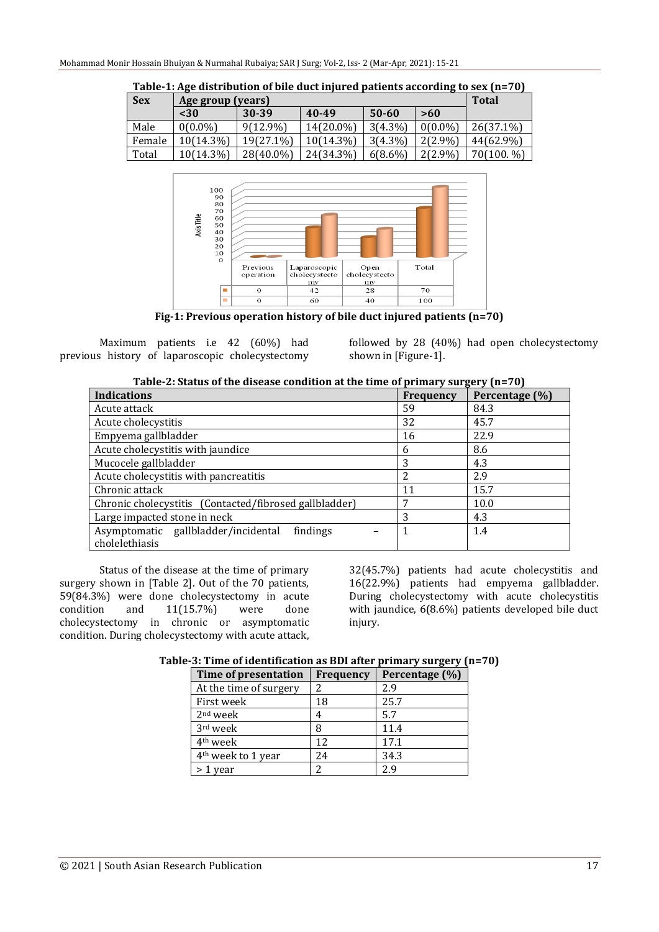| <b>Sex</b> | Age group (years) |             |           |            |            | <b>Total</b> |
|------------|-------------------|-------------|-----------|------------|------------|--------------|
|            | $30$              | 30-39       | 40-49     | $50 - 60$  | >60        |              |
| Male       | $0(0.0\%)$        | $9(12.9\%)$ | 14(20.0%) | $3(4.3\%)$ | $0(0.0\%)$ | 26(37.1%)    |
| Female     | $10(14.3\%)$      | 19(27.1%)   | 10(14.3%) | $3(4.3\%)$ | 2(2.9%)    | 44(62.9%)    |
| Total      | $10(14.3\%)$      | 28(40.0%)   | 24(34.3%) | $6(8.6\%)$ | $2(2.9\%)$ | 70(100. %)   |

**Table-1: Age distribution of bile duct injured patients according to sex (n=70)**



**Fig-1: Previous operation history of bile duct injured patients (n=70)**

Maximum patients i.e 42 (60%) had previous history of laparoscopic cholecystectomy followed by 28 (40%) had open cholecystectomy shown in [Figure-1].

| Table-2: Status of the disease condition at the time of primary surgery $(n=70)$ |  |
|----------------------------------------------------------------------------------|--|
|                                                                                  |  |

| <b>Indications</b>                                     | <b>Frequency</b> | Percentage (%) |
|--------------------------------------------------------|------------------|----------------|
| Acute attack                                           | 59               | 84.3           |
| Acute cholecystitis                                    | 32               | 45.7           |
| Empyema gallbladder                                    | 16               | 22.9           |
| Acute cholecystitis with jaundice                      | 6                | 8.6            |
| Mucocele gallbladder                                   | 3                | 4.3            |
| Acute cholecystitis with pancreatitis                  |                  | 2.9            |
| Chronic attack                                         | 11               | 15.7           |
| Chronic cholecystitis (Contacted/fibrosed gallbladder) |                  | 10.0           |
| Large impacted stone in neck                           | 3                | 4.3            |
| Asymptomatic gallbladder/incidental<br>findings        |                  | 1.4            |
| cholelethiasis                                         |                  |                |

Status of the disease at the time of primary surgery shown in [Table 2]. Out of the 70 patients, 59(84.3%) were done cholecystectomy in acute condition and 11(15.7%) were done cholecystectomy in chronic or asymptomatic condition. During cholecystectomy with acute attack, 32(45.7%) patients had acute cholecystitis and 16(22.9%) patients had empyema gallbladder. During cholecystectomy with acute cholecystitis with jaundice, 6(8.6%) patients developed bile duct injury.

| Time of presentation           | <b>Frequency</b> | Percentage (%) |  |
|--------------------------------|------------------|----------------|--|
| At the time of surgery         |                  | 2.9            |  |
| First week                     | 18               | 25.7           |  |
| $2nd$ week                     | 4                | 5.7            |  |
| 3rd week                       | 8                | 11.4           |  |
| 4 <sup>th</sup> week           | 12               | 17.1           |  |
| 4 <sup>th</sup> week to 1 year | 24               | 34.3           |  |
| 1 year                         | ำ                | 29             |  |

**Table-3: Time of identification as BDI after primary surgery (n=70)**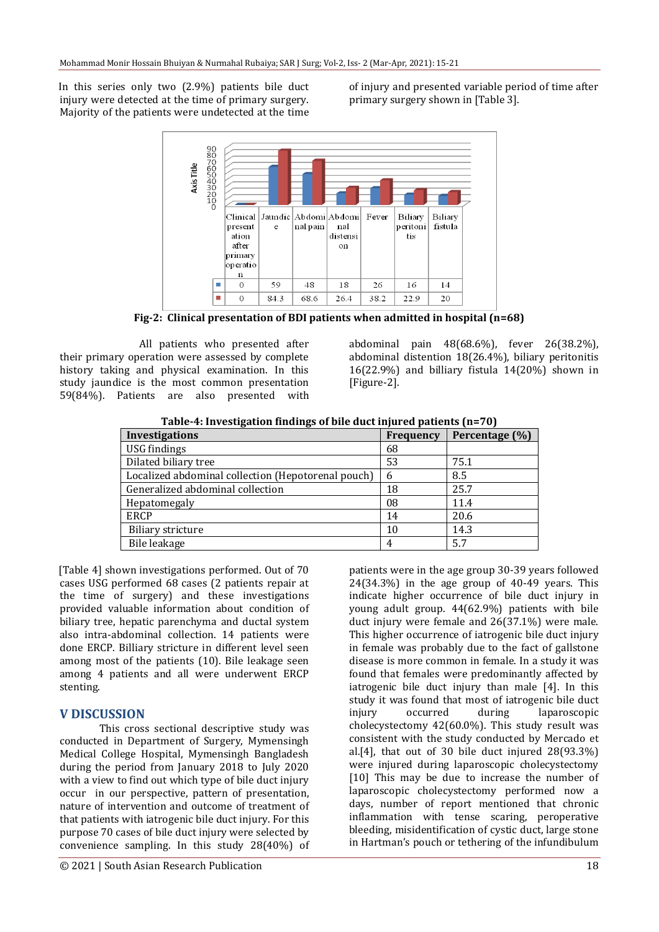In this series only two (2.9%) patients bile duct injury were detected at the time of primary surgery. Majority of the patients were undetected at the time of injury and presented variable period of time after primary surgery shown in [Table 3].



**Fig-2: Clinical presentation of BDI patients when admitted in hospital (n=68)**

All patients who presented after their primary operation were assessed by complete history taking and physical examination. In this study jaundice is the most common presentation 59(84%). Patients are also presented with

abdominal pain 48(68.6%), fever 26(38.2%), abdominal distention 18(26.4%), biliary peritonitis 16(22.9%) and billiary fistula 14(20%) shown in [Figure-2].

| Table-4: Investigation lingings of the duct injured patients (n=70) |                  |                |  |  |  |
|---------------------------------------------------------------------|------------------|----------------|--|--|--|
| <b>Investigations</b>                                               | <b>Frequency</b> | Percentage (%) |  |  |  |
| USG findings                                                        | 68               |                |  |  |  |
| Dilated biliary tree                                                | 53               | 75.1           |  |  |  |
| Localized abdominal collection (Hepotorenal pouch)                  | 6                | 8.5            |  |  |  |
| Generalized abdominal collection                                    | 18               | 25.7           |  |  |  |
| Hepatomegaly                                                        | 08               | 11.4           |  |  |  |
| <b>ERCP</b>                                                         | 14               | 20.6           |  |  |  |
| <b>Biliary stricture</b>                                            | 10               | 14.3           |  |  |  |
| Bile leakage                                                        | 4                | 5.7            |  |  |  |

**Table-4: Investigation findings of bile duct injured patients (n=70)**

[Table 4] shown investigations performed. Out of 70 cases USG performed 68 cases (2 patients repair at the time of surgery) and these investigations provided valuable information about condition of biliary tree, hepatic parenchyma and ductal system also intra-abdominal collection. 14 patients were done ERCP. Billiary stricture in different level seen among most of the patients (10). Bile leakage seen among 4 patients and all were underwent ERCP stenting.

## **V DISCUSSION**

This cross sectional descriptive study was conducted in Department of Surgery, Mymensingh Medical College Hospital, Mymensingh Bangladesh during the period from January 2018 to July 2020 with a view to find out which type of bile duct injury occur in our perspective, pattern of presentation, nature of intervention and outcome of treatment of that patients with iatrogenic bile duct injury. For this purpose 70 cases of bile duct injury were selected by convenience sampling. In this study 28(40%) of patients were in the age group 30-39 years followed 24(34.3%) in the age group of 40-49 years. This indicate higher occurrence of bile duct injury in young adult group. 44(62.9%) patients with bile duct injury were female and 26(37.1%) were male. This higher occurrence of iatrogenic bile duct injury in female was probably due to the fact of gallstone disease is more common in female. In a study it was found that females were predominantly affected by iatrogenic bile duct injury than male [4]. In this study it was found that most of iatrogenic bile duct injury occurred during laparoscopic cholecystectomy 42(60.0%). This study result was consistent with the study conducted by Mercado et al.[4], that out of 30 bile duct injured 28(93.3%) were injured during laparoscopic cholecystectomy [10] This may be due to increase the number of laparoscopic cholecystectomy performed now a days, number of report mentioned that chronic inflammation with tense scaring, peroperative bleeding, misidentification of cystic duct, large stone in Hartman's pouch or tethering of the infundibulum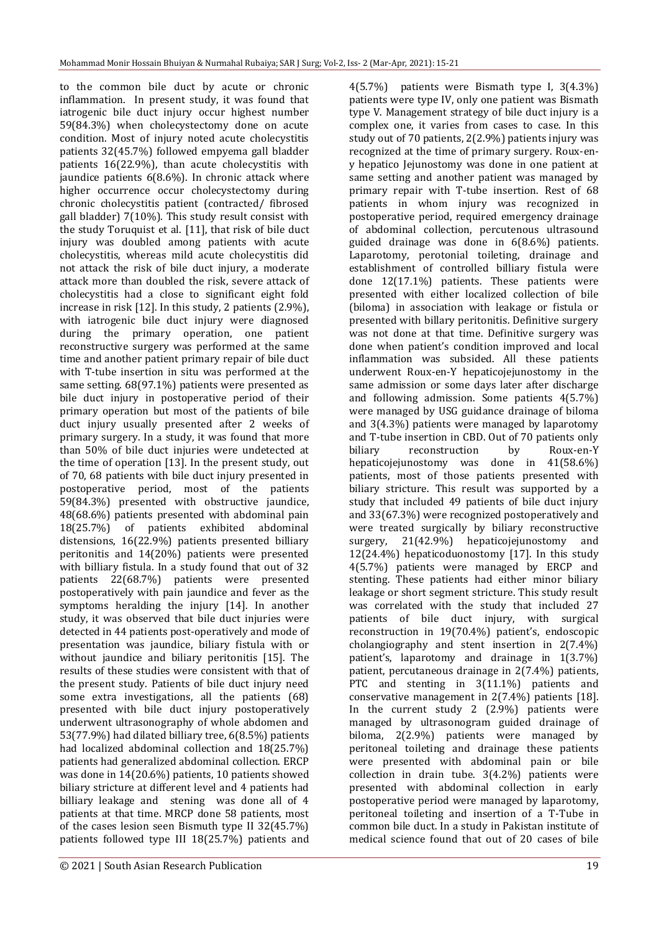to the common bile duct by acute or chronic inflammation. In present study, it was found that iatrogenic bile duct injury occur highest number 59(84.3%) when cholecystectomy done on acute condition. Most of injury noted acute cholecystitis patients 32(45.7%) followed empyema gall bladder patients 16(22.9%), than acute cholecystitis with jaundice patients 6(8.6%). In chronic attack where higher occurrence occur cholecystectomy during chronic cholecystitis patient (contracted/ fibrosed gall bladder) 7(10%). This study result consist with the study Toruquist et al. [11], that risk of bile duct injury was doubled among patients with acute cholecystitis, whereas mild acute cholecystitis did not attack the risk of bile duct injury, a moderate attack more than doubled the risk, severe attack of cholecystitis had a close to significant eight fold increase in risk [12]. In this study, 2 patients (2.9%), with iatrogenic bile duct injury were diagnosed during the primary operation, one patient reconstructive surgery was performed at the same time and another patient primary repair of bile duct with T-tube insertion in situ was performed at the same setting. 68(97.1%) patients were presented as bile duct injury in postoperative period of their primary operation but most of the patients of bile duct injury usually presented after 2 weeks of primary surgery. In a study, it was found that more than 50% of bile duct injuries were undetected at the time of operation [13]. In the present study, out of 70, 68 patients with bile duct injury presented in postoperative period, most of the patients 59(84.3%) presented with obstructive jaundice, 48(68.6%) patients presented with abdominal pain 18(25.7%) of patients exhibited abdominal distensions, 16(22.9%) patients presented billiary peritonitis and 14(20%) patients were presented with billiary fistula. In a study found that out of 32 patients 22(68.7%) patients were presented postoperatively with pain jaundice and fever as the symptoms heralding the injury [14]. In another study, it was observed that bile duct injuries were detected in 44 patients post-operatively and mode of presentation was jaundice, biliary fistula with or without jaundice and biliary peritonitis [15]. The results of these studies were consistent with that of the present study. Patients of bile duct injury need some extra investigations, all the patients (68) presented with bile duct injury postoperatively underwent ultrasonography of whole abdomen and 53(77.9%) had dilated billiary tree, 6(8.5%) patients had localized abdominal collection and 18(25.7%) patients had generalized abdominal collection. ERCP was done in 14(20.6%) patients, 10 patients showed biliary stricture at different level and 4 patients had billiary leakage and stening was done all of 4 patients at that time. MRCP done 58 patients, most of the cases lesion seen Bismuth type II 32(45.7%) patients followed type III 18(25.7%) patients and

4(5.7%) patients were Bismath type I, 3(4.3%) patients were type IV, only one patient was Bismath type V. Management strategy of bile duct injury is a complex one, it varies from cases to case. In this study out of 70 patients, 2(2.9%) patients injury was recognized at the time of primary surgery. Roux-eny hepatico Jejunostomy was done in one patient at same setting and another patient was managed by primary repair with T-tube insertion. Rest of 68 patients in whom injury was recognized in postoperative period, required emergency drainage of abdominal collection, percutenous ultrasound guided drainage was done in 6(8.6%) patients. Laparotomy, perotonial toileting, drainage and establishment of controlled billiary fistula were done 12(17.1%) patients. These patients were presented with either localized collection of bile (biloma) in association with leakage or fistula or presented with billary peritonitis. Definitive surgery was not done at that time. Definitive surgery was done when patient's condition improved and local inflammation was subsided. All these patients underwent Roux-en-Y hepaticojejunostomy in the same admission or some days later after discharge and following admission. Some patients 4(5.7%) were managed by USG guidance drainage of biloma and 3(4.3%) patients were managed by laparotomy and T-tube insertion in CBD. Out of 70 patients only biliary reconstruction by Roux-en-Y hepaticojejunostomy was done in 41(58.6%) patients, most of those patients presented with biliary stricture. This result was supported by a study that included 49 patients of bile duct injury and 33(67.3%) were recognized postoperatively and were treated surgically by biliary reconstructive surgery, 21(42.9%) hepaticojejunostomy and 12(24.4%) hepaticoduonostomy [17]. In this study 4(5.7%) patients were managed by ERCP and stenting. These patients had either minor biliary leakage or short segment stricture. This study result was correlated with the study that included 27 patients of bile duct injury, with surgical reconstruction in 19(70.4%) patient's, endoscopic cholangiography and stent insertion in 2(7.4%) patient's, laparotomy and drainage in 1(3.7%) patient, percutaneous drainage in 2(7.4%) patients, PTC and stenting in 3(11.1%) patients and conservative management in 2(7.4%) patients [18]. In the current study 2 (2.9%) patients were managed by ultrasonogram guided drainage of biloma, 2(2.9%) patients were managed by peritoneal toileting and drainage these patients were presented with abdominal pain or bile collection in drain tube. 3(4.2%) patients were presented with abdominal collection in early postoperative period were managed by laparotomy, peritoneal toileting and insertion of a T-Tube in common bile duct. In a study in Pakistan institute of medical science found that out of 20 cases of bile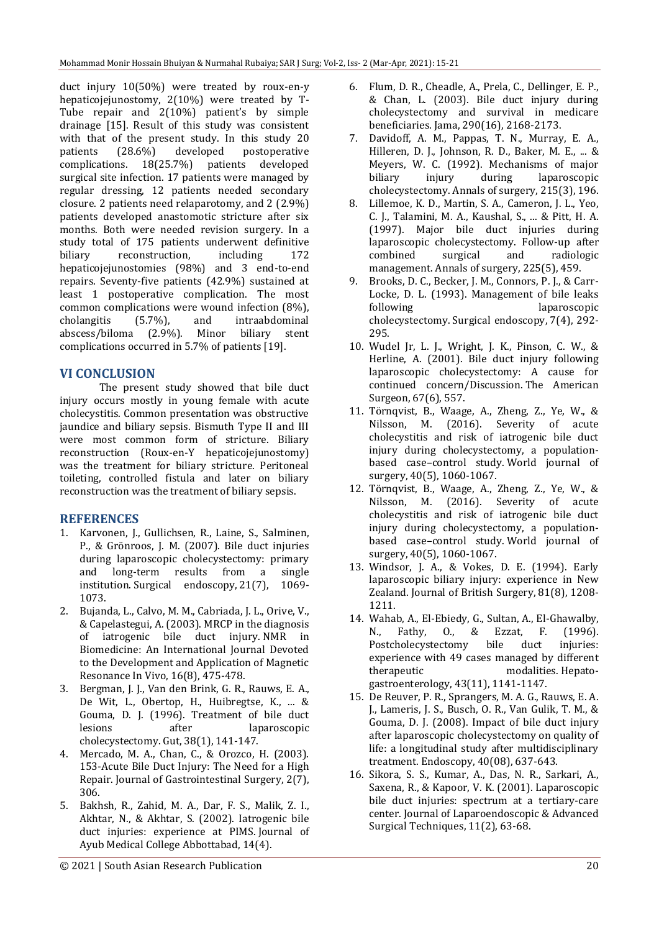duct injury 10(50%) were treated by roux-en-y hepaticojejunostomy, 2(10%) were treated by T-Tube repair and 2(10%) patient's by simple drainage [15]. Result of this study was consistent with that of the present study. In this study 20 patients (28.6%) developed postoperative complications. 18(25.7%) patients developed surgical site infection. 17 patients were managed by regular dressing, 12 patients needed secondary closure. 2 patients need relaparotomy, and 2 (2.9%) patients developed anastomotic stricture after six months. Both were needed revision surgery. In a study total of 175 patients underwent definitive biliary reconstruction, including 172 hepaticojejunostomies (98%) and 3 end-to-end repairs. Seventy-five patients (42.9%) sustained at least 1 postoperative complication. The most common complications were wound infection (8%), cholangitis (5.7%), and intraabdominal abscess/biloma (2.9%). Minor biliary stent complications occurred in 5.7% of patients [19].

## **VI CONCLUSION**

The present study showed that bile duct injury occurs mostly in young female with acute cholecystitis. Common presentation was obstructive jaundice and biliary sepsis. Bismuth Type II and III were most common form of stricture. Biliary reconstruction (Roux-en-Y hepaticojejunostomy) was the treatment for biliary stricture. Peritoneal toileting, controlled fistula and later on biliary reconstruction was the treatment of biliary sepsis.

## **REFERENCES**

- 1. Karvonen, J., Gullichsen, R., Laine, S., Salminen, P., & Grönroos, J. M. (2007). Bile duct injuries during laparoscopic cholecystectomy: primary and long-term results from a single institution. Surgical endoscopy, 21(7), 1069- 1073.
- 2. Bujanda, L., Calvo, M. M., Cabriada, J. L., Orive, V., & Capelastegui, A. (2003). MRCP in the diagnosis of iatrogenic bile duct injury. NMR in Biomedicine: An International Journal Devoted to the Development and Application of Magnetic Resonance In Vivo, 16(8), 475-478.
- 3. Bergman, J. J., Van den Brink, G. R., Rauws, E. A., De Wit, L., Obertop, H., Huibregtse, K., ... & Gouma, D. J. (1996). Treatment of bile duct lesions after laparoscopic cholecystectomy. Gut, 38(1), 141-147.
- 4. Mercado, M. A., Chan, C., & Orozco, H. (2003). 153-Acute Bile Duct Injury: The Need for a High Repair. Journal of Gastrointestinal Surgery, 2(7), 306.
- 5. Bakhsh, R., Zahid, M. A., Dar, F. S., Malik, Z. I., Akhtar, N., & Akhtar, S. (2002). Iatrogenic bile duct injuries: experience at PIMS. Journal of Ayub Medical College Abbottabad, 14(4).
- 6. Flum, D. R., Cheadle, A., Prela, C., Dellinger, E. P., & Chan, L. (2003). Bile duct injury during cholecystectomy and survival in medicare beneficiaries. Jama, 290(16), 2168-2173.
- 7. Davidoff, A. M., Pappas, T. N., Murray, E. A., Hilleren, D. J., Johnson, R. D., Baker, M. E., ... & Meyers, W. C. (1992). Mechanisms of major biliary injury during laparoscopic cholecystectomy. Annals of surgery, 215(3), 196.
- 8. Lillemoe, K. D., Martin, S. A., Cameron, J. L., Yeo, C. J., Talamini, M. A., Kaushal, S., ... & Pitt, H. A. (1997). Major bile duct injuries during laparoscopic cholecystectomy. Follow-up after combined surgical and radiologic management. Annals of surgery, 225(5), 459.
- 9. Brooks, D. C., Becker, J. M., Connors, P. J., & Carr-Locke, D. L. (1993). Management of bile leaks following laparoscopic cholecystectomy. Surgical endoscopy, 7(4), 292- 295.
- 10. Wudel Jr, L. J., Wright, J. K., Pinson, C. W., & Herline, A. (2001). Bile duct injury following laparoscopic cholecystectomy: A cause for continued concern/Discussion. The American Surgeon, 67(6), 557.
- 11. Törnqvist, B., Waage, A., Zheng, Z., Ye, W., & Nilsson, M. (2016). Severity of acute cholecystitis and risk of iatrogenic bile duct injury during cholecystectomy, a populationbased case–control study. World journal of surgery, 40(5), 1060-1067.
- 12. Törnqvist, B., Waage, A., Zheng, Z., Ye, W., & Nilsson, M. (2016). Severity of acute cholecystitis and risk of iatrogenic bile duct injury during cholecystectomy, a populationbased case–control study. World journal of surgery, 40(5), 1060-1067.
- 13. Windsor, J. A., & Vokes, D. E. (1994). Early laparoscopic biliary injury: experience in New Zealand. Journal of British Surgery, 81(8), 1208- 1211.
- 14. Wahab, A., El-Ebiedy, G., Sultan, A., El-Ghawalby, N., Fathy, O., & Ezzat, F. (1996). Postcholecystectomy bile duct injuries: experience with 49 cases managed by different therapeutic modalities. Hepatogastroenterology, 43(11), 1141-1147.
- 15. De Reuver, P. R., Sprangers, M. A. G., Rauws, E. A. J., Lameris, J. S., Busch, O. R., Van Gulik, T. M., & Gouma, D. J. (2008). Impact of bile duct injury after laparoscopic cholecystectomy on quality of life: a longitudinal study after multidisciplinary treatment. Endoscopy, 40(08), 637-643.
- 16. Sikora, S. S., Kumar, A., Das, N. R., Sarkari, A., Saxena, R., & Kapoor, V. K. (2001). Laparoscopic bile duct injuries: spectrum at a tertiary-care center. Journal of Laparoendoscopic & Advanced Surgical Techniques, 11(2), 63-68.